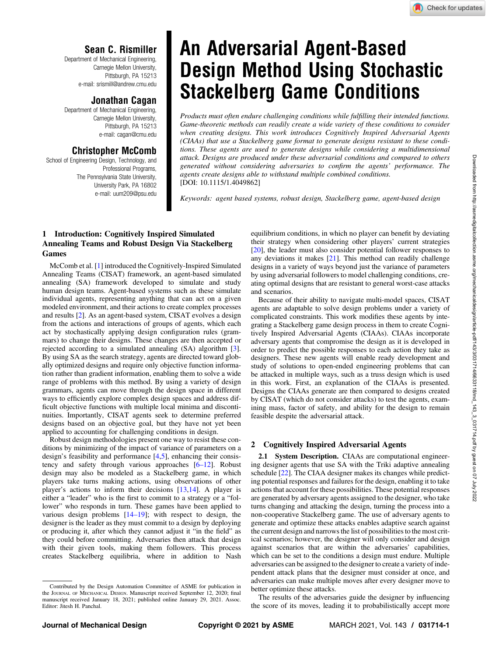# Sean C. Rismiller

Department of Mechanical Engineering, Carnegie Mellon University, Pittsburgh, PA 15213 e-mail: [srismill@andrew.cmu.edu](mailto:srismill@andrew.cmu.edu)

# Jonathan Cagan

Department of Mechanical Engineering, Carnegie Mellon University, Pittsburgh, PA 15213 e-mail: [cagan@cmu.edu](mailto:cagan@cmu.edu)

# Christopher McComb

School of Engineering Design, Technology, and Professional Programs, The Pennsylvania State University, University Park, PA 16802 e-mail: [uum209@psu.edu](mailto:uum209@psu.edu)

# An Adversarial Agent-Based Design Method Using Stochastic Stackelberg Game Conditions

Products must often endure challenging conditions while fulfilling their intended functions. Game-theoretic methods can readily create a wide variety of these conditions to consider when creating designs. This work introduces Cognitively Inspired Adversarial Agents (CIAAs) that use a Stackelberg game format to generate designs resistant to these conditions. These agents are used to generate designs while considering a multidimensional attack. Designs are produced under these adversarial conditions and compared to others generated without considering adversaries to confirm the agents' performance. The agents create designs able to withstand multiple combined conditions. [DOI: 10.1115/1.4049862]

Keywords: agent based systems, robust design, Stackelberg game, agent-based design

## 1 Introduction: Cognitively Inspired Simulated Annealing Teams and Robust Design Via Stackelberg Games

McComb et al. [\[1\]](#page-4-0) introduced the Cognitively-Inspired Simulated Annealing Teams (CISAT) framework, an agent-based simulated annealing (SA) framework developed to simulate and study human design teams. Agent-based systems such as these simulate individual agents, representing anything that can act on a given modeled environment, and their actions to create complex processes and results [[2](#page-4-0)]. As an agent-based system, CISAT evolves a design from the actions and interactions of groups of agents, which each act by stochastically applying design configuration rules (grammars) to change their designs. These changes are then accepted or rejected according to a simulated annealing (SA) algorithm [\[3\]](#page-4-0). By using SA as the search strategy, agents are directed toward globally optimized designs and require only objective function information rather than gradient information, enabling them to solve a wide range of problems with this method. By using a variety of design grammars, agents can move through the design space in different ways to efficiently explore complex design spaces and address difficult objective functions with multiple local minima and discontinuities. Importantly, CISAT agents seek to determine preferred designs based on an objective goal, but they have not yet been applied to accounting for challenging conditions in design.

Robust design methodologies present one way to resist these conditions by minimizing of the impact of variance of parameters on a design's feasibility and performance [[4](#page-4-0),[5](#page-4-0)], enhancing their consistency and safety through various approaches [6–12]. Robust design may also be modeled as a Stackelberg game, in which players take turns making actions, using observations of other player's actions to inform their decisions [[13,14\]](#page-4-0). A player is either a "leader" who is the first to commit to a strategy or a "follower" who responds in turn. These games have been applied to various design problems [14–19]; with respect to design, the designer is the leader as they must commit to a design by deploying or producing it, after which they cannot adjust it "in the field" as they could before committing. Adversaries then attack that design with their given tools, making them followers. This process creates Stackelberg equilibria, where in addition to Nash equilibrium conditions, in which no player can benefit by deviating their strategy when considering other players' current strategies [[20\]](#page-4-0), the leader must also consider potential follower responses to any deviations it makes [\[21](#page-4-0)]. This method can readily challenge designs in a variety of ways beyond just the variance of parameters by using adversarial followers to model challenging conditions, creating optimal designs that are resistant to general worst-case attacks and scenarios.

Because of their ability to navigate multi-model spaces, CISAT agents are adaptable to solve design problems under a variety of complicated constraints. This work modifies these agents by integrating a Stackelberg game design process in them to create Cognitively Inspired Adversarial Agents (CIAAs). CIAAs incorporate adversary agents that compromise the design as it is developed in order to predict the possible responses to each action they take as designers. These new agents will enable ready development and study of solutions to open-ended engineering problems that can be attacked in multiple ways, such as a truss design which is used in this work. First, an explanation of the CIAAs is presented. Designs the CIAAs generate are then compared to designs created by CISAT (which do not consider attacks) to test the agents, examining mass, factor of safety, and ability for the design to remain feasible despite the adversarial attack.

# 2 Cognitively Inspired Adversarial Agents

2.1 System Description. CIAAs are computational engineering designer agents that use SA with the Triki adaptive annealing schedule [\[22](#page-4-0)]. The CIAA designer makes its changes while predicting potential responses and failures for the design, enabling it to take actions that account for these possibilities. These potential responses are generated by adversary agents assigned to the designer, who take turns changing and attacking the design, turning the process into a non-cooperative Stackelberg game. The use of adversary agents to generate and optimize these attacks enables adaptive search against the current design and narrows the list of possibilities to the most critical scenarios; however, the designer will only consider and design against scenarios that are within the adversaries' capabilities, which can be set to the conditions a design must endure. Multiple adversaries can be assigned to the designer to create a variety of independent attack plans that the designer must consider at once, and adversaries can make multiple moves after every designer move to better optimize these attacks.

The results of the adversaries guide the designer by influencing the score of its moves, leading it to probabilistically accept more

Contributed by the Design Automation Committee of ASME for publication in the JOURNAL OF MECHANICAL DESIGN. Manuscript received September 12, 2020; final manuscript received January 18, 2021; published online January 29, 2021. Assoc. Editor: Jitesh H. Panchal.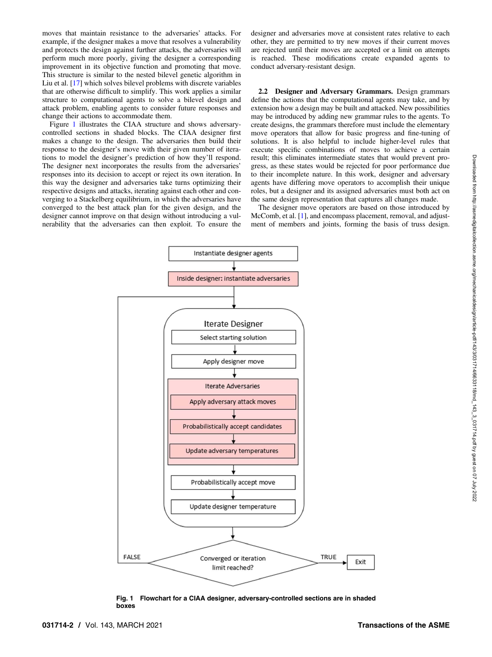Downloaded from http://asmedigitalcollection.asme.org/mechanicaldesign/article-pdf/143/3/031714/40633118/md\_143\_3\_031714.pdf by guest on 07 July 2022 Downloaded from http://asmedigitalcollection.asme.org/mechanicaldesign/article-pdf/143/3/031714/6633118/md\_143\_3\_031714.pdf by guest on 07 July 2022

moves that maintain resistance to the adversaries' attacks. For example, if the designer makes a move that resolves a vulnerability and protects the design against further attacks, the adversaries will perform much more poorly, giving the designer a corresponding improvement in its objective function and promoting that move. This structure is similar to the nested bilevel genetic algorithm in Liu et al. [[17\]](#page-4-0) which solves bilevel problems with discrete variables that are otherwise difficult to simplify. This work applies a similar structure to computational agents to solve a bilevel design and attack problem, enabling agents to consider future responses and change their actions to accommodate them.

Figure 1 illustrates the CIAA structure and shows adversarycontrolled sections in shaded blocks. The CIAA designer first makes a change to the design. The adversaries then build their response to the designer's move with their given number of iterations to model the designer's prediction of how they'll respond. The designer next incorporates the results from the adversaries' responses into its decision to accept or reject its own iteration. In this way the designer and adversaries take turns optimizing their respective designs and attacks, iterating against each other and converging to a Stackelberg equilibrium, in which the adversaries have converged to the best attack plan for the given design, and the designer cannot improve on that design without introducing a vulnerability that the adversaries can then exploit. To ensure the

designer and adversaries move at consistent rates relative to each other, they are permitted to try new moves if their current moves are rejected until their moves are accepted or a limit on attempts is reached. These modifications create expanded agents to conduct adversary-resistant design.

2.2 Designer and Adversary Grammars. Design grammars define the actions that the computational agents may take, and by extension how a design may be built and attacked. New possibilities may be introduced by adding new grammar rules to the agents. To create designs, the grammars therefore must include the elementary move operators that allow for basic progress and fine-tuning of solutions. It is also helpful to include higher-level rules that execute specific combinations of moves to achieve a certain result; this eliminates intermediate states that would prevent progress, as these states would be rejected for poor performance due to their incomplete nature. In this work, designer and adversary agents have differing move operators to accomplish their unique roles, but a designer and its assigned adversaries must both act on the same design representation that captures all changes made.

The designer move operators are based on those introduced by McComb, et al. [[1](#page-4-0)], and encompass placement, removal, and adjustment of members and joints, forming the basis of truss design.



Fig. 1 Flowchart for a CIAA designer, adversary-controlled sections are in shaded boxes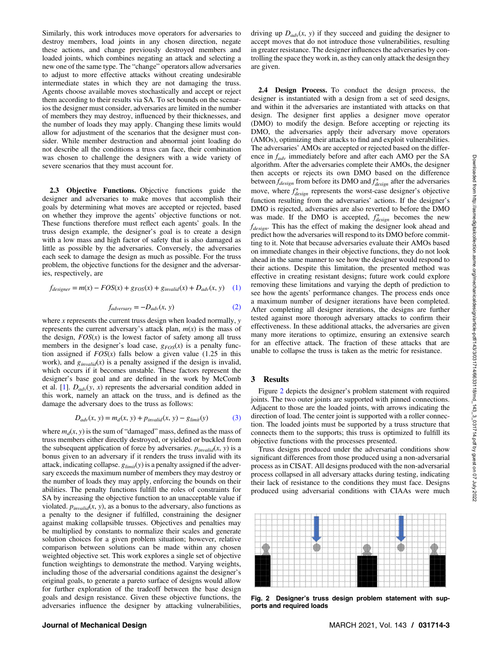Similarly, this work introduces move operators for adversaries to destroy members, load joints in any chosen direction, negate these actions, and change previously destroyed members and loaded joints, which combines negating an attack and selecting a new one of the same type. The "change" operators allow adversaries to adjust to more effective attacks without creating undesirable intermediate states in which they are not damaging the truss. Agents choose available moves stochastically and accept or reject them according to their results via SA. To set bounds on the scenarios the designer must consider, adversaries are limited in the number of members they may destroy, influenced by their thicknesses, and the number of loads they may apply. Changing these limits would allow for adjustment of the scenarios that the designer must consider. While member destruction and abnormal joint loading do not describe all the conditions a truss can face, their combination was chosen to challenge the designers with a wide variety of severe scenarios that they must account for.

2.3 Objective Functions. Objective functions guide the designer and adversaries to make moves that accomplish their goals by determining what moves are accepted or rejected, based on whether they improve the agents' objective functions or not. These functions therefore must reflect each agents' goals. In the truss design example, the designer's goal is to create a design with a low mass and high factor of safety that is also damaged as little as possible by the adversaries. Conversely, the adversaries each seek to damage the design as much as possible. For the truss problem, the objective functions for the designer and the adversaries, respectively, are

$$
f_{designer} = m(x) - FOS(x) + g_{FOS}(x) + g_{invalid}(x) + D_{adv}(x, y) \quad (1)
$$

$$
f_{adversary} = -D_{adv}(x, y)
$$
 (2)

where x represents the current truss design when loaded normally,  $\nu$ represents the current adversary's attack plan,  $m(x)$  is the mass of the design,  $FOS(x)$  is the lowest factor of safety among all truss members in the designer's load case,  $g_{FOS}(x)$  is a penalty function assigned if  $FOS(x)$  falls below a given value (1.25 in this work), and  $g_{invalid}(x)$  is a penalty assigned if the design is invalid, which occurs if it becomes unstable. These factors represent the designer's base goal and are defined in the work by McComb et al. [\[1\]](#page-4-0).  $D_{adv}(y, x)$  represents the adversarial condition added in this work, namely an attack on the truss, and is defined as the damage the adversary does to the truss as follows:

$$
D_{adv}(x, y) = m_d(x, y) + p_{invalid}(x, y) - g_{limit}(y)
$$
 (3)

where  $m_d(x, y)$  is the sum of "damaged" mass, defined as the mass of truss members either directly destroyed, or yielded or buckled from the subsequent application of force by adversaries.  $p_{invalid}(x, y)$  is a bonus given to an adversary if it renders the truss invalid with its attack, indicating collapse.  $g_{limit}(y)$  is a penalty assigned if the adversary exceeds the maximum number of members they may destroy or the number of loads they may apply, enforcing the bounds on their abilities. The penalty functions fulfill the roles of constraints for SA by increasing the objective function to an unacceptable value if violated.  $p_{\text{invalid}}(x, y)$ , as a bonus to the adversary, also functions as a penalty to the designer if fulfilled, constraining the designer against making collapsible trusses. Objectives and penalties may be multiplied by constants to normalize their scales and generate solution choices for a given problem situation; however, relative comparison between solutions can be made within any chosen weighted objective set. This work explores a single set of objective function weightings to demonstrate the method. Varying weights, including those of the adversarial conditions against the designer's original goals, to generate a pareto surface of designs would allow for further exploration of the tradeoff between the base design goals and design resistance. Given these objective functions, the adversaries influence the designer by attacking vulnerabilities, driving up  $D_{adv}(x, y)$  if they succeed and guiding the designer to accept moves that do not introduce those vulnerabilities, resulting in greater resistance. The designer influences the adversaries by controlling the space they work in, as they can only attack the design they are given.

2.4 Design Process. To conduct the design process, the designer is instantiated with a design from a set of seed designs, and within it the adversaries are instantiated with attacks on that design. The designer first applies a designer move operator (DMO) to modify the design. Before accepting or rejecting its DMO, the adversaries apply their adversary move operators (AMOs), optimizing their attacks to find and exploit vulnerabilities. The adversaries' AMOs are accepted or rejected based on the difference in  $f_{adv}$  immediately before and after each AMO per the SA algorithm. After the adversaries complete their AMOs, the designer then accepts or rejects its own DMO based on the difference between  $f_{design}$  from before its DMO and  $f_{design}^*$  after the adversaries move, where  $f^*_{design}$  represents the worst-case designer's objective function resulting from the adversaries' actions. If the designer's DMO is rejected, adversaries are also reverted to before the DMO was made. If the DMO is accepted,  $f_{design}^*$  becomes the new  $f_{desien}$ . This has the effect of making the designer look ahead and predict how the adversaries will respond to its DMO before committing to it. Note that because adversaries evaluate their AMOs based on immediate changes in their objective functions, they do not look ahead in the same manner to see how the designer would respond to their actions. Despite this limitation, the presented method was effective in creating resistant designs; future work could explore removing these limitations and varying the depth of prediction to see how the agents' performance changes. The process ends once a maximum number of designer iterations have been completed. After completing all designer iterations, the designs are further tested against more thorough adversary attacks to confirm their effectiveness. In these additional attacks, the adversaries are given many more iterations to optimize, ensuring an extensive search for an effective attack. The fraction of these attacks that are unable to collapse the truss is taken as the metric for resistance.

#### 3 Results

Figure 2 depicts the designer's problem statement with required joints. The two outer joints are supported with pinned connections. Adjacent to those are the loaded joints, with arrows indicating the direction of load. The center joint is supported with a roller connection. The loaded joints must be supported by a truss structure that connects them to the supports; this truss is optimized to fulfill its objective functions with the processes presented.

Truss designs produced under the adversarial conditions show significant differences from those produced using a non-adversarial process as in CISAT. All designs produced with the non-adversarial process collapsed in all adversary attacks during testing, indicating their lack of resistance to the conditions they must face. Designs produced using adversarial conditions with CIAAs were much



Fig. 2 Designer's truss design problem statement with supports and required loads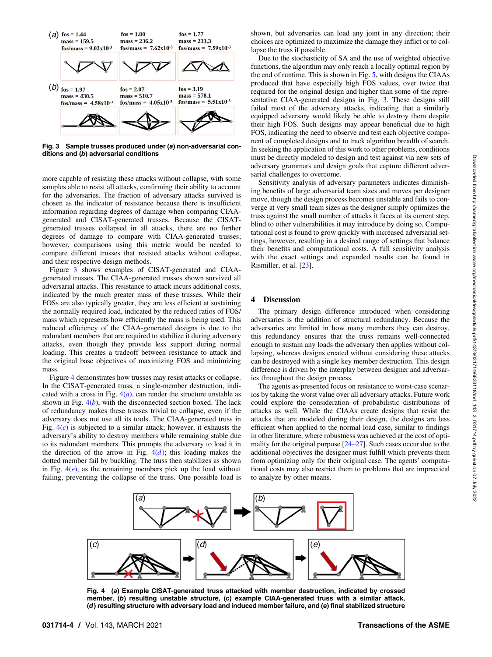

Fig. 3 Sample trusses produced under (a) non-adversarial conditions and (b) adversarial conditions

more capable of resisting these attacks without collapse, with some samples able to resist all attacks, confirming their ability to account for the adversaries. The fraction of adversary attacks survived is chosen as the indicator of resistance because there is insufficient information regarding degrees of damage when comparing CIAAgenerated and CISAT-generated trusses. Because the CISATgenerated trusses collapsed in all attacks, there are no further degrees of damage to compare with CIAA-generated trusses; however, comparisons using this metric would be needed to compare different trusses that resisted attacks without collapse, and their respective design methods.

Figure 3 shows examples of CISAT-generated and CIAAgenerated trusses. The CIAA-generated trusses shown survived all adversarial attacks. This resistance to attack incurs additional costs, indicated by the much greater mass of these trusses. While their FOSs are also typically greater, they are less efficient at sustaining the normally required load, indicated by the reduced ratios of FOS/ mass which represents how efficiently the mass is being used. This reduced efficiency of the CIAA-generated designs is due to the redundant members that are required to stabilize it during adversary attacks, even though they provide less support during normal loading. This creates a tradeoff between resistance to attack and the original base objectives of maximizing FOS and minimizing mass.

Figure 4 demonstrates how trusses may resist attacks or collapse. In the CISAT-generated truss, a single-member destruction, indicated with a cross in Fig.  $4(a)$ , can render the structure unstable as shown in Fig.  $4(b)$ , with the disconnected section boxed. The lack of redundancy makes these trusses trivial to collapse, even if the adversary does not use all its tools. The CIAA-generated truss in Fig.  $4(c)$  is subjected to a similar attack; however, it exhausts the adversary's ability to destroy members while remaining stable due to its redundant members. This prompts the adversary to load it in the direction of the arrow in Fig.  $4(d)$ ; this loading makes the dotted member fail by buckling. The truss then stabilizes as shown in Fig.  $4(e)$ , as the remaining members pick up the load without failing, preventing the collapse of the truss. One possible load is shown, but adversaries can load any joint in any direction; their choices are optimized to maximize the damage they inflict or to collapse the truss if possible.

Due to the stochasticity of SA and the use of weighted objective functions, the algorithm may only reach a locally optimal region by the end of runtime. This is shown in Fig. [5,](#page-4-0) with designs the CIAAs produced that have especially high FOS values, over twice that required for the original design and higher than some of the representative CIAA-generated designs in Fig. 3. These designs still failed most of the adversary attacks, indicating that a similarly equipped adversary would likely be able to destroy them despite their high FOS. Such designs may appear beneficial due to high FOS, indicating the need to observe and test each objective component of completed designs and to track algorithm breadth of search. In seeking the application of this work to other problems, conditions must be directly modeled to design and test against via new sets of adversary grammars and design goals that capture different adversarial challenges to overcome.

Sensitivity analysis of adversary parameters indicates diminishing benefits of large adversarial team sizes and moves per designer move, though the design process becomes unstable and fails to converge at very small team sizes as the designer simply optimizes the truss against the small number of attacks it faces at its current step, blind to other vulnerabilities it may introduce by doing so. Computational cost is found to grow quickly with increased adversarial settings, however, resulting in a desired range of settings that balance their benefits and computational costs. A full sensitivity analysis with the exact settings and expanded results can be found in Rismiller, et al. [\[23](#page-4-0)].

### 4 Discussion

The primary design difference introduced when considering adversaries is the addition of structural redundancy. Because the adversaries are limited in how many members they can destroy, this redundancy ensures that the truss remains well-connected enough to sustain any loads the adversary then applies without collapsing, whereas designs created without considering these attacks can be destroyed with a single key member destruction. This design difference is driven by the interplay between designer and adversaries throughout the design process.

The agents as-presented focus on resistance to worst-case scenarios by taking the worst value over all adversary attacks. Future work could explore the consideration of probabilistic distributions of attacks as well. While the CIAAs create designs that resist the attacks that are modeled during their design, the designs are less efficient when applied to the normal load case, similar to findings in other literature, where robustness was achieved at the cost of optimality for the original purpose [24–27]. Such cases occur due to the additional objectives the designer must fulfill which prevents them from optimizing only for their original case. The agents' computational costs may also restrict them to problems that are impractical to analyze by other means.



Fig. 4 (a) Example CISAT-generated truss attacked with member destruction, indicated by crossed member, (b) resulting unstable structure, (c) example CIAA-generated truss with a similar attack, (d) resulting structure with adversary load and induced member failure, and (e) final stabilized structure